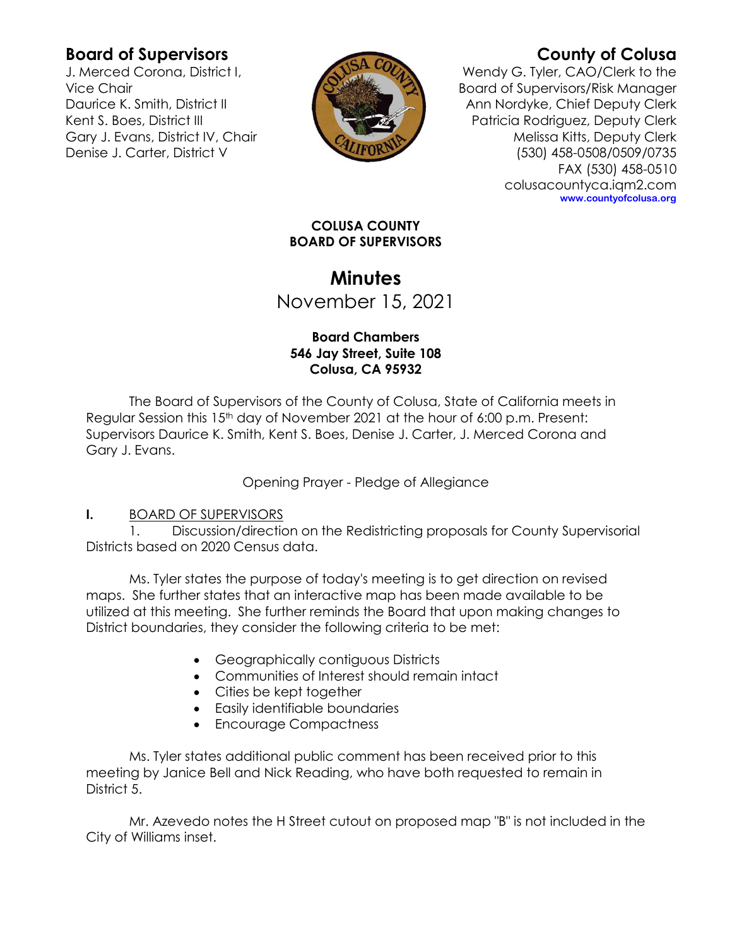## **Board of Supervisors**

J. Merced Corona, District I, Vice Chair Daurice K. Smith, District II Kent S. Boes, District III Gary J. Evans, District IV, Chair Denise J. Carter, District V



# **County of Colusa**

Wendy G. Tyler, CAO/Clerk to the Board of Supervisors/Risk Manager Ann Nordyke, Chief Deputy Clerk Patricia Rodriguez, Deputy Clerk Melissa Kitts, Deputy Clerk (530) 458-0508/0509/0735 FAX (530) 458-0510 colusacountyca.iqm2.com **www.countyofcolusa.org**

#### **COLUSA COUNTY BOARD OF SUPERVISORS**

## **Minutes** November 15, 2021

#### **Board Chambers 546 Jay Street, Suite 108 Colusa, CA 95932**

The Board of Supervisors of the County of Colusa, State of California meets in Regular Session this 15<sup>th</sup> day of November 2021 at the hour of 6:00 p.m. Present: Supervisors Daurice K. Smith, Kent S. Boes, Denise J. Carter, J. Merced Corona and Gary J. Evans.

Opening Prayer - Pledge of Allegiance

### **I.** BOARD OF SUPERVISORS

1. Discussion/direction on the Redistricting proposals for County Supervisorial Districts based on 2020 Census data.

Ms. Tyler states the purpose of today's meeting is to get direction on revised maps. She further states that an interactive map has been made available to be utilized at this meeting. She further reminds the Board that upon making changes to District boundaries, they consider the following criteria to be met:

- Geographically contiguous Districts
- Communities of Interest should remain intact
- Cities be kept together
- Easily identifiable boundaries
- Encourage Compactness

Ms. Tyler states additional public comment has been received prior to this meeting by Janice Bell and Nick Reading, who have both requested to remain in District 5.

Mr. Azevedo notes the H Street cutout on proposed map "B" is not included in the City of Williams inset.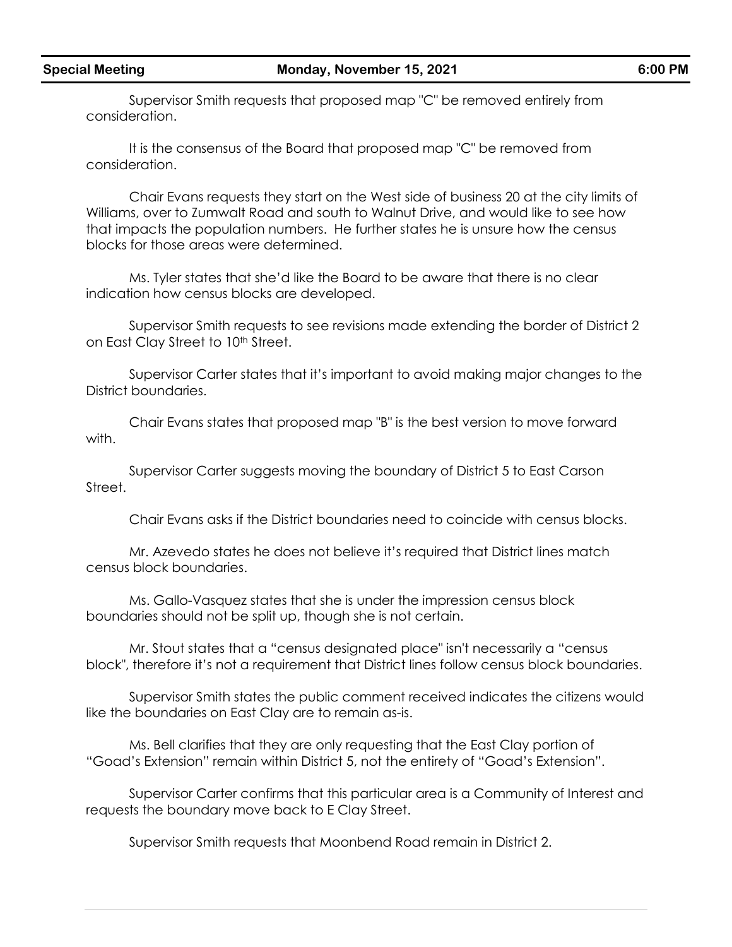Supervisor Smith requests that proposed map "C" be removed entirely from consideration.

It is the consensus of the Board that proposed map "C" be removed from consideration.

Chair Evans requests they start on the West side of business 20 at the city limits of Williams, over to Zumwalt Road and south to Walnut Drive, and would like to see how that impacts the population numbers. He further states he is unsure how the census blocks for those areas were determined.

Ms. Tyler states that she'd like the Board to be aware that there is no clear indication how census blocks are developed.

Supervisor Smith requests to see revisions made extending the border of District 2 on East Clay Street to 10<sup>th</sup> Street.

Supervisor Carter states that it's important to avoid making major changes to the District boundaries.

Chair Evans states that proposed map "B" is the best version to move forward with.

Supervisor Carter suggests moving the boundary of District 5 to East Carson Street.

Chair Evans asks if the District boundaries need to coincide with census blocks.

Mr. Azevedo states he does not believe it's required that District lines match census block boundaries.

Ms. Gallo-Vasquez states that she is under the impression census block boundaries should not be split up, though she is not certain.

Mr. Stout states that a "census designated place" isn't necessarily a "census block", therefore it's not a requirement that District lines follow census block boundaries.

Supervisor Smith states the public comment received indicates the citizens would like the boundaries on East Clay are to remain as-is.

Ms. Bell clarifies that they are only requesting that the East Clay portion of "Goad's Extension" remain within District 5, not the entirety of "Goad's Extension".

Supervisor Carter confirms that this particular area is a Community of Interest and requests the boundary move back to E Clay Street.

Supervisor Smith requests that Moonbend Road remain in District 2.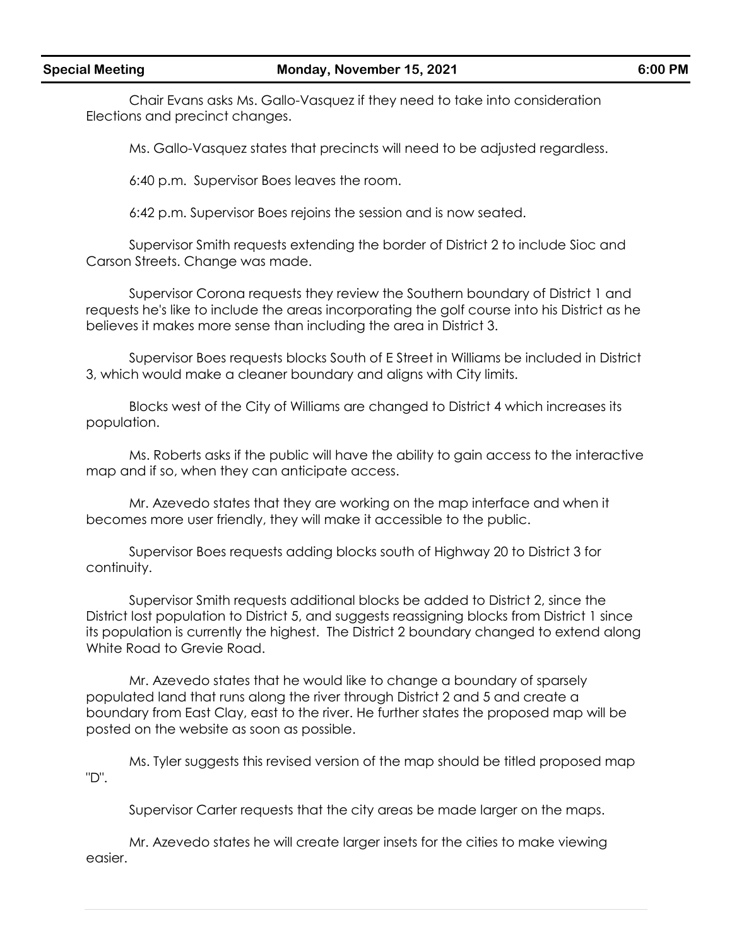Chair Evans asks Ms. Gallo-Vasquez if they need to take into consideration Elections and precinct changes.

Ms. Gallo-Vasquez states that precincts will need to be adjusted regardless.

6:40 p.m. Supervisor Boes leaves the room.

6:42 p.m. Supervisor Boes rejoins the session and is now seated.

Supervisor Smith requests extending the border of District 2 to include Sioc and Carson Streets. Change was made.

Supervisor Corona requests they review the Southern boundary of District 1 and requests he's like to include the areas incorporating the golf course into his District as he believes it makes more sense than including the area in District 3.

Supervisor Boes requests blocks South of E Street in Williams be included in District 3, which would make a cleaner boundary and aligns with City limits.

Blocks west of the City of Williams are changed to District 4 which increases its population.

Ms. Roberts asks if the public will have the ability to gain access to the interactive map and if so, when they can anticipate access.

Mr. Azevedo states that they are working on the map interface and when it becomes more user friendly, they will make it accessible to the public.

Supervisor Boes requests adding blocks south of Highway 20 to District 3 for continuity.

Supervisor Smith requests additional blocks be added to District 2, since the District lost population to District 5, and suggests reassigning blocks from District 1 since its population is currently the highest. The District 2 boundary changed to extend along White Road to Grevie Road.

Mr. Azevedo states that he would like to change a boundary of sparsely populated land that runs along the river through District 2 and 5 and create a boundary from East Clay, east to the river. He further states the proposed map will be posted on the website as soon as possible.

Ms. Tyler suggests this revised version of the map should be titled proposed map "D".

Supervisor Carter requests that the city areas be made larger on the maps.

Mr. Azevedo states he will create larger insets for the cities to make viewing easier.